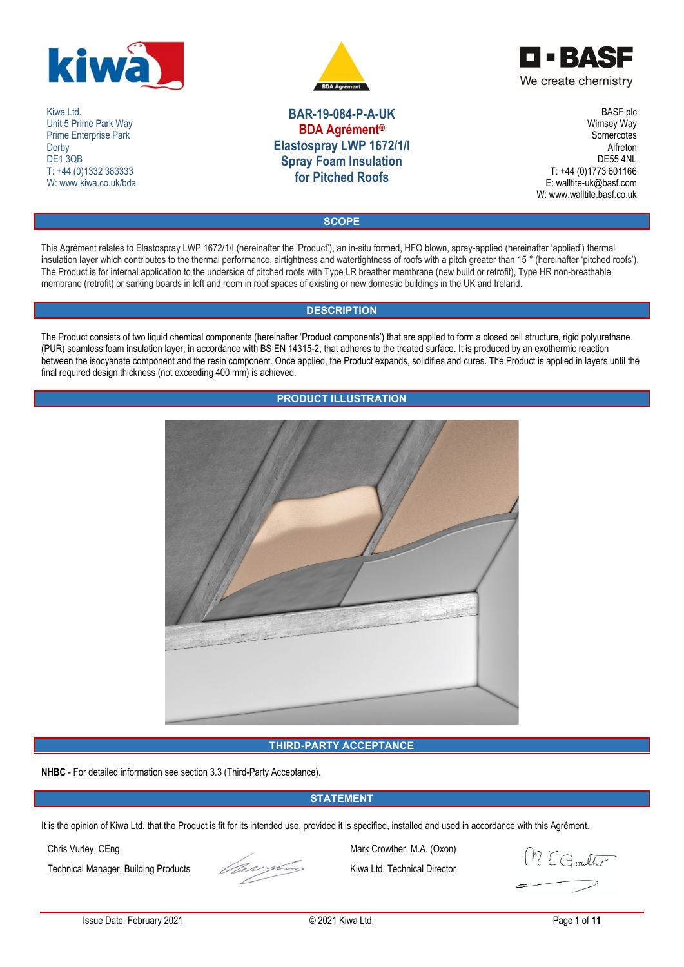

Kiwa Ltd. Unit 5 Prime Park Way Prime Enterprise Park **Derby** DE<sub>1</sub>3QB T: +44 (0)1332 383333 W: www.kiwa.co.uk/bda





**BAR-19-084-P-A-UK BDA Agrément® Elastospray LWP 1672/1/I Spray Foam Insulation for Pitched Roofs**

BASF plc Wimsey Way **Somercotes** Alfreton DE55 4NL T: +44 (0)1773 601166 E: walltite-uk@basf.com W: www.walltite.basf.co.uk

**SCOPE**

This Agrément relates to Elastospray LWP 1672/1/I (hereinafter the 'Product'), an in-situ formed, HFO blown, spray-applied (hereinafter 'applied') thermal insulation layer which contributes to the thermal performance, airtightness and watertightness of roofs with a pitch greater than 15 ° (hereinafter 'pitched roofs'). The Product is for internal application to the underside of pitched roofs with Type LR breather membrane (new build or retrofit), Type HR non-breathable membrane (retrofit) or sarking boards in loft and room in roof spaces of existing or new domestic buildings in the UK and Ireland.

# **DESCRIPTION**

The Product consists of two liquid chemical components (hereinafter 'Product components') that are applied to form a closed cell structure, rigid polyurethane (PUR) seamless foam insulation layer, in accordance with BS EN 14315-2, that adheres to the treated surface. It is produced by an exothermic reaction between the isocyanate component and the resin component. Once applied, the Product expands, solidifies and cures. The Product is applied in layers until the final required design thickness (not exceeding 400 mm) is achieved.



# **THIRD-PARTY ACCEPTANCE**

**NHBC** - For detailed information see section 3.3 (Third-Party Acceptance).

# **STATEMENT**

It is the opinion of Kiwa Ltd. that the Product is fit for its intended use, provided it is specified, installed and used in accordance with this Agrément.



Chris Vurley, CEng Mark Crowther, M.A. (Oxon) Technical Manager, Building Products Kiwa Ltd. Technical Director

M E Gouth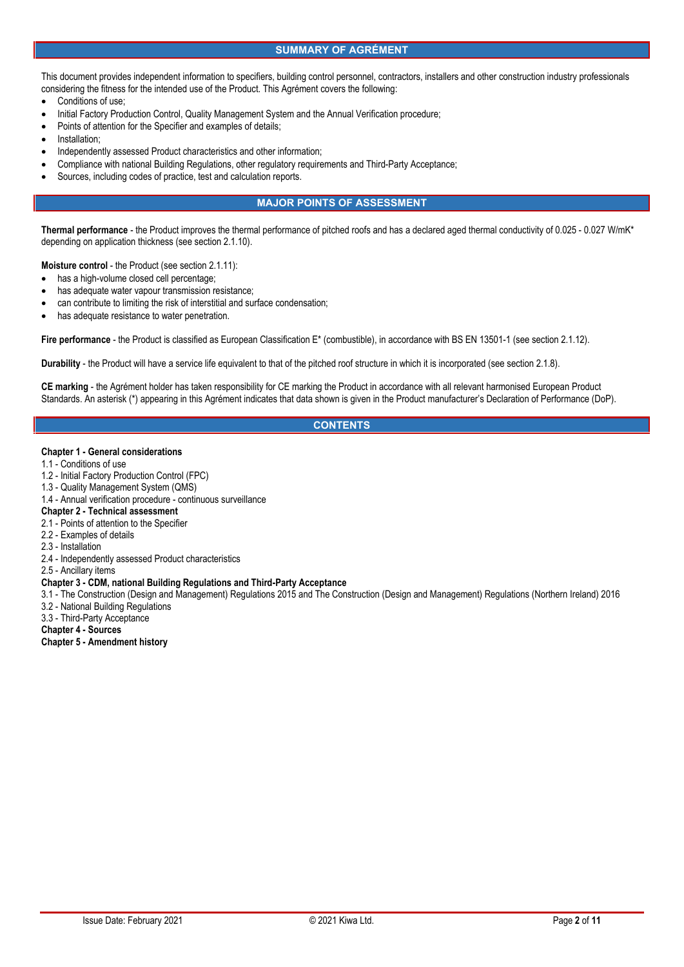### **SUMMARY OF AGRÉMENT**

This document provides independent information to specifiers, building control personnel, contractors, installers and other construction industry professionals considering the fitness for the intended use of the Product. This Agrément covers the following:

- Conditions of use;
- Initial Factory Production Control, Quality Management System and the Annual Verification procedure;
- Points of attention for the Specifier and examples of details;
- Installation;
- Independently assessed Product characteristics and other information;
- Compliance with national Building Regulations, other regulatory requirements and Third-Party Acceptance;
- Sources, including codes of practice, test and calculation reports.

## **MAJOR POINTS OF ASSESSMENT**

**Thermal performance** - the Product improves the thermal performance of pitched roofs and has a declared aged thermal conductivity of 0.025 - 0.027 W/mK\* depending on application thickness (see section 2.1.10).

**Moisture control** - the Product (see section 2.1.11):

- has a high-volume closed cell percentage;
- has adequate water vapour transmission resistance;
- can contribute to limiting the risk of interstitial and surface condensation;
- has adequate resistance to water penetration.

**Fire performance** - the Product is classified as European Classification E\* (combustible), in accordance with BS EN 13501-1 (see section 2.1.12).

**Durability** - the Product will have a service life equivalent to that of the pitched roof structure in which it is incorporated (see section 2.1.8).

**CE marking** - the Agrément holder has taken responsibility for CE marking the Product in accordance with all relevant harmonised European Product Standards. An asterisk (\*) appearing in this Agrément indicates that data shown is given in the Product manufacturer's Declaration of Performance (DoP).

# **CONTENTS**

#### **Chapter 1 - General considerations**

- 1.1 Conditions of use
- 1.2 Initial Factory Production Control (FPC)
- 1.3 Quality Management System (QMS)
- 1.4 Annual verification procedure continuous surveillance

### **Chapter 2 - Technical assessment**

- 2.1 Points of attention to the Specifier
- 2.2 Examples of details
- 2.3 Installation
- 2.4 Independently assessed Product characteristics
- 2.5 Ancillary items

### **Chapter 3 - CDM, national Building Regulations and Third-Party Acceptance**

- 3.1 The Construction (Design and Management) Regulations 2015 and The Construction (Design and Management) Regulations (Northern Ireland) 2016 3.2 - National Building Regulations
- 3.3 Third-Party Acceptance
- **Chapter 4 - Sources**
- **Chapter 5 - Amendment history**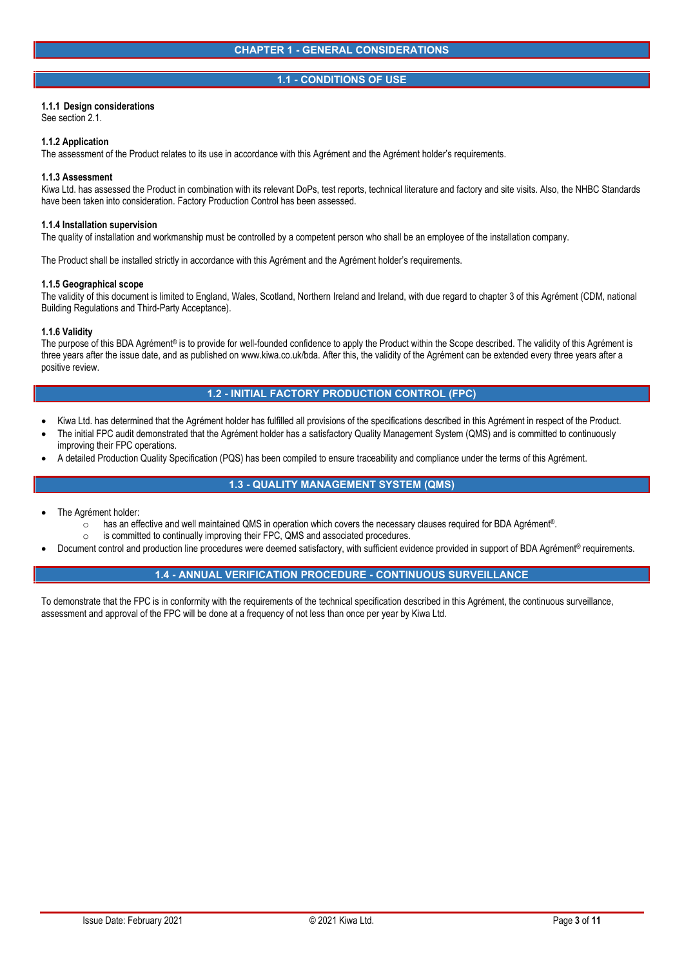### **1.1 - CONDITIONS OF USE**

### **1.1.1 Design considerations**

See section 2.1.

#### **1.1.2 Application**

The assessment of the Product relates to its use in accordance with this Agrément and the Agrément holder's requirements.

#### **1.1.3 Assessment**

Kiwa Ltd. has assessed the Product in combination with its relevant DoPs, test reports, technical literature and factory and site visits. Also, the NHBC Standards have been taken into consideration. Factory Production Control has been assessed.

#### **1.1.4 Installation supervision**

The quality of installation and workmanship must be controlled by a competent person who shall be an employee of the installation company.

The Product shall be installed strictly in accordance with this Agrément and the Agrément holder's requirements.

#### **1.1.5 Geographical scope**

The validity of this document is limited to England, Wales, Scotland, Northern Ireland and Ireland, with due regard to chapter 3 of this Agrément (CDM, national Building Regulations and Third-Party Acceptance).

### **1.1.6 Validity**

The purpose of this BDA Agrément® is to provide for well-founded confidence to apply the Product within the Scope described. The validity of this Agrément is three years after the issue date, and as published on www.kiwa.co.uk/bda. After this, the validity of the Agrément can be extended every three years after a positive review.

### **1.2 - INITIAL FACTORY PRODUCTION CONTROL (FPC)**

- Kiwa Ltd. has determined that the Agrément holder has fulfilled all provisions of the specifications described in this Agrément in respect of the Product.
- The initial FPC audit demonstrated that the Agrément holder has a satisfactory Quality Management System (QMS) and is committed to continuously improving their FPC operations.
- A detailed Production Quality Specification (PQS) has been compiled to ensure traceability and compliance under the terms of this Agrément.

# **1.3 - QUALITY MANAGEMENT SYSTEM (QMS)**

- The Agrément holder:
	- o has an effective and well maintained QMS in operation which covers the necessary clauses required for BDA Agrément®.<br>○ is committed to continually improving their FPC. QMS and associated procedures.
	-
- is committed to continually improving their FPC, QMS and associated procedures.<br>Document control and production line procedures were deemed satisfactory, with sufficient evidence provided in support of BDA Agrément® req

# **1.4 - ANNUAL VERIFICATION PROCEDURE - CONTINUOUS SURVEILLANCE**

To demonstrate that the FPC is in conformity with the requirements of the technical specification described in this Agrément, the continuous surveillance, assessment and approval of the FPC will be done at a frequency of not less than once per year by Kiwa Ltd.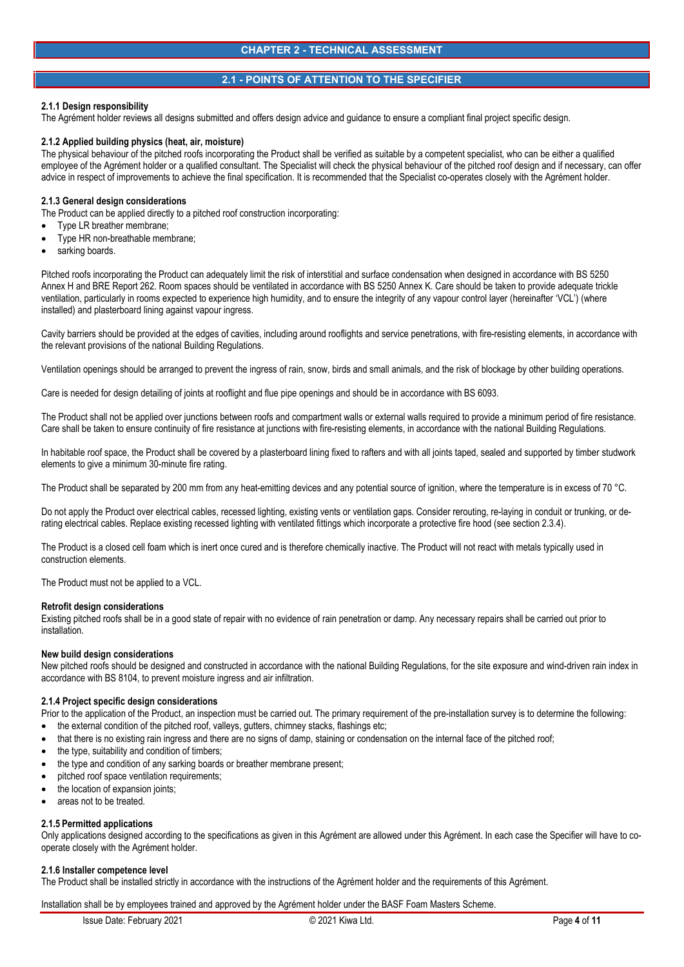## **2.1 - POINTS OF ATTENTION TO THE SPECIFIER**

### **2.1.1 Design responsibility**

The Agrément holder reviews all designs submitted and offers design advice and guidance to ensure a compliant final project specific design.

#### **2.1.2 Applied building physics (heat, air, moisture)**

The physical behaviour of the pitched roofs incorporating the Product shall be verified as suitable by a competent specialist, who can be either a qualified employee of the Agrément holder or a qualified consultant. The Specialist will check the physical behaviour of the pitched roof design and if necessary, can offer advice in respect of improvements to achieve the final specification. It is recommended that the Specialist co-operates closely with the Agrément holder.

#### **2.1.3 General design considerations**

The Product can be applied directly to a pitched roof construction incorporating:

- Type LR breather membrane;
- Type HR non-breathable membrane;
- sarking boards.

Pitched roofs incorporating the Product can adequately limit the risk of interstitial and surface condensation when designed in accordance with BS 5250 Annex H and BRE Report 262. Room spaces should be ventilated in accordance with BS 5250 Annex K. Care should be taken to provide adequate trickle ventilation, particularly in rooms expected to experience high humidity, and to ensure the integrity of any vapour control layer (hereinafter 'VCL') (where installed) and plasterboard lining against vapour ingress.

Cavity barriers should be provided at the edges of cavities, including around rooflights and service penetrations, with fire-resisting elements, in accordance with the relevant provisions of the national Building Regulations.

Ventilation openings should be arranged to prevent the ingress of rain, snow, birds and small animals, and the risk of blockage by other building operations.

Care is needed for design detailing of joints at rooflight and flue pipe openings and should be in accordance with BS 6093.

The Product shall not be applied over junctions between roofs and compartment walls or external walls required to provide a minimum period of fire resistance. Care shall be taken to ensure continuity of fire resistance at junctions with fire-resisting elements, in accordance with the national Building Regulations.

In habitable roof space, the Product shall be covered by a plasterboard lining fixed to rafters and with all joints taped, sealed and supported by timber studwork elements to give a minimum 30-minute fire rating.

The Product shall be separated by 200 mm from any heat-emitting devices and any potential source of ignition, where the temperature is in excess of 70 °C.

Do not apply the Product over electrical cables, recessed lighting, existing vents or ventilation gaps. Consider rerouting, re-laying in conduit or trunking, or derating electrical cables. Replace existing recessed lighting with ventilated fittings which incorporate a protective fire hood (see section 2.3.4).

The Product is a closed cell foam which is inert once cured and is therefore chemically inactive. The Product will not react with metals typically used in construction elements.

The Product must not be applied to a VCL.

#### **Retrofit design considerations**

Existing pitched roofs shall be in a good state of repair with no evidence of rain penetration or damp. Any necessary repairs shall be carried out prior to installation.

#### **New build design considerations**

New pitched roofs should be designed and constructed in accordance with the national Building Regulations, for the site exposure and wind-driven rain index in accordance with BS 8104, to prevent moisture ingress and air infiltration.

#### **2.1.4 Project specific design considerations**

Prior to the application of the Product, an inspection must be carried out. The primary requirement of the pre-installation survey is to determine the following:

- the external condition of the pitched roof, valleys, gutters, chimney stacks, flashings etc;
- that there is no existing rain ingress and there are no signs of damp, staining or condensation on the internal face of the pitched roof;
- the type, suitability and condition of timbers;
- the type and condition of any sarking boards or breather membrane present;
- pitched roof space ventilation requirements;
- the location of expansion joints;
- areas not to be treated.

#### **2.1.5 Permitted applications**

Only applications designed according to the specifications as given in this Agrément are allowed under this Agrément. In each case the Specifier will have to co operate closely with the Agrément holder.

#### **2.1.6 Installer competence level**

The Product shall be installed strictly in accordance with the instructions of the Agrément holder and the requirements of this Agrément.

Installation shall be by employees trained and approved by the Agrément holder under the BASF Foam Masters Scheme.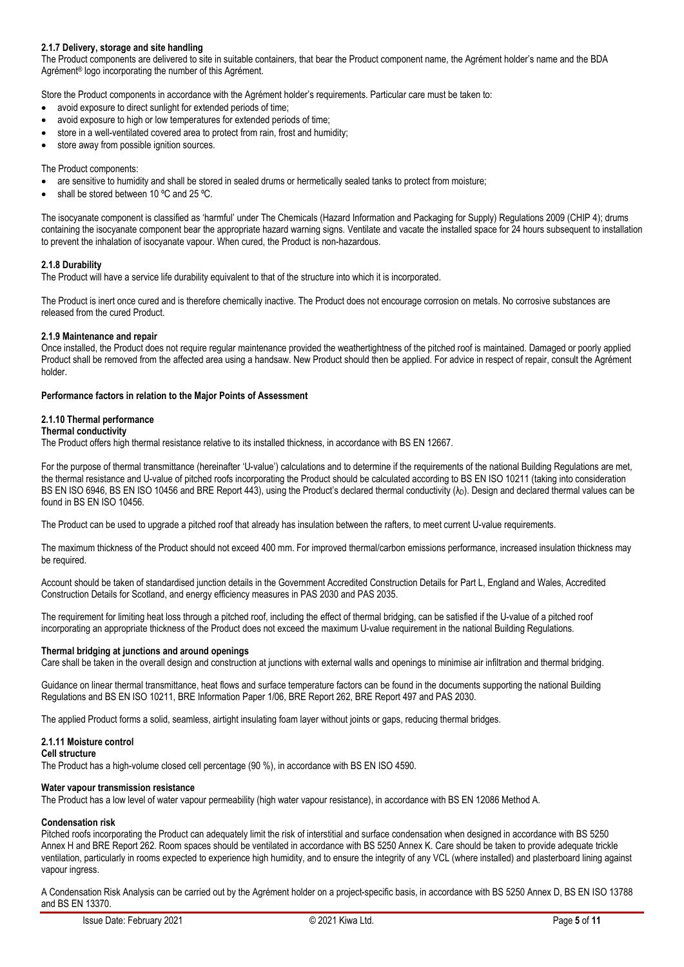# **2.1.7 Delivery, storage and site handling**

The Product components are delivered to site in suitable containers, that bear the Product component name, the Agrément holder's name and the BDA Agrément<sup>®</sup> logo incorporating the number of this Agrément.

Store the Product components in accordance with the Agrément holder's requirements. Particular care must be taken to:

- avoid exposure to direct sunlight for extended periods of time;
- avoid exposure to high or low temperatures for extended periods of time;
- store in a well-ventilated covered area to protect from rain, frost and humidity;
- store away from possible ignition sources.

#### The Product components:

- are sensitive to humidity and shall be stored in sealed drums or hermetically sealed tanks to protect from moisture;
- shall be stored between 10 ºC and 25 ºC.

The isocyanate component is classified as 'harmful' under The Chemicals (Hazard Information and Packaging for Supply) Regulations 2009 (CHIP 4); drums containing the isocyanate component bear the appropriate hazard warning signs. Ventilate and vacate the installed space for 24 hours subsequent to installation to prevent the inhalation of isocyanate vapour. When cured, the Product is non-hazardous.

#### **2.1.8 Durability**

The Product will have a service life durability equivalent to that of the structure into which it is incorporated.

The Product is inert once cured and is therefore chemically inactive. The Product does not encourage corrosion on metals. No corrosive substances are released from the cured Product.

#### **2.1.9 Maintenance and repair**

Once installed, the Product does not require regular maintenance provided the weathertightness of the pitched roof is maintained. Damaged or poorly applied Product shall be removed from the affected area using a handsaw. New Product should then be applied. For advice in respect of repair, consult the Agrément holder.

#### **Performance factors in relation to the Major Points of Assessment**

#### **2.1.10 Thermal performance**

#### **Thermal conductivity**

The Product offers high thermal resistance relative to its installed thickness, in accordance with BS EN 12667.

For the purpose of thermal transmittance (hereinafter 'U-value') calculations and to determine if the requirements of the national Building Regulations are met, the thermal resistance and U-value of pitched roofs incorporating the Product should be calculated according to BS EN ISO 10211 (taking into consideration BS EN ISO 6946, BS EN ISO 10456 and BRE Report 443), using the Product's declared thermal conductivity (λρ). Design and declared thermal values can be found in BS EN ISO 10456.

The Product can be used to upgrade a pitched roof that already has insulation between the rafters, to meet current U-value requirements.

The maximum thickness of the Product should not exceed 400 mm. For improved thermal/carbon emissions performance, increased insulation thickness may be required.

Account should be taken of standardised junction details in the Government Accredited Construction Details for Part L, England and Wales, Accredited Construction Details for Scotland, and energy efficiency measures in PAS 2030 and PAS 2035.

The requirement for limiting heat loss through a pitched roof, including the effect of thermal bridging, can be satisfied if the U-value of a pitched roof incorporating an appropriate thickness of the Product does not exceed the maximum U-value requirement in the national Building Regulations.

#### **Thermal bridging at junctions and around openings**

Care shall be taken in the overall design and construction at junctions with external walls and openings to minimise air infiltration and thermal bridging.

Guidance on linear thermal transmittance, heat flows and surface temperature factors can be found in the documents supporting the national Building Regulations and BS EN ISO 10211, BRE Information Paper 1/06, BRE Report 262, BRE Report 497 and PAS 2030.

The applied Product forms a solid, seamless, airtight insulating foam layer without joints or gaps, reducing thermal bridges.

#### **2.1.11 Moisture control**

#### **Cell structure**

The Product has a high-volume closed cell percentage (90 %), in accordance with BS EN ISO 4590.

#### **Water vapour transmission resistance**

The Product has a low level of water vapour permeability (high water vapour resistance), in accordance with BS EN 12086 Method A.

# **Condensation risk**

Pitched roofs incorporating the Product can adequately limit the risk of interstitial and surface condensation when designed in accordance with BS 5250 Annex H and BRE Report 262. Room spaces should be ventilated in accordance with BS 5250 Annex K. Care should be taken to provide adequate trickle ventilation, particularly in rooms expected to experience high humidity, and to ensure the integrity of any VCL (where installed) and plasterboard lining against vapour ingress.

A Condensation Risk Analysis can be carried out by the Agrément holder on a project-specific basis, in accordance with BS 5250 Annex D, BS EN ISO 13788 and BS EN 13370.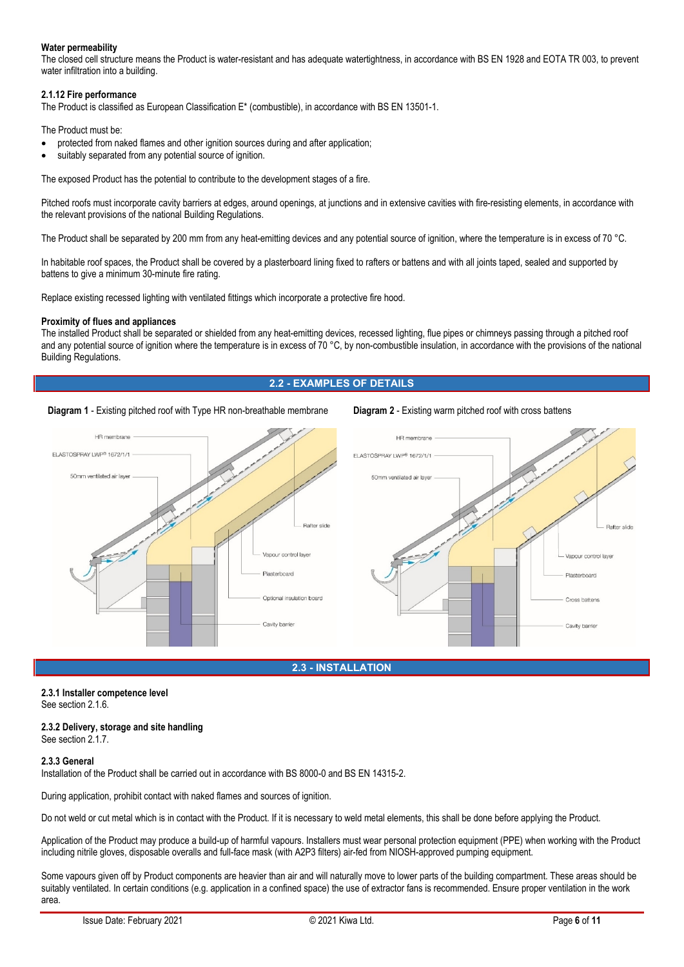### **Water permeability**

The closed cell structure means the Product is water-resistant and has adequate watertightness, in accordance with BS EN 1928 and EOTA TR 003, to prevent water infiltration into a building.

### **2.1.12 Fire performance**

The Product is classified as European Classification E\* (combustible), in accordance with BS EN 13501-1.

The Product must be:

- protected from naked flames and other ignition sources during and after application;
- suitably separated from any potential source of ignition.

The exposed Product has the potential to contribute to the development stages of a fire.

Pitched roofs must incorporate cavity barriers at edges, around openings, at junctions and in extensive cavities with fire-resisting elements, in accordance with the relevant provisions of the national Building Regulations.

The Product shall be separated by 200 mm from any heat-emitting devices and any potential source of ignition, where the temperature is in excess of 70 °C.

In habitable roof spaces, the Product shall be covered by a plasterboard lining fixed to rafters or battens and with all joints taped, sealed and supported by battens to give a minimum 30-minute fire rating.

Replace existing recessed lighting with ventilated fittings which incorporate a protective fire hood.

#### **Proximity of flues and appliances**

The installed Product shall be separated or shielded from any heat-emitting devices, recessed lighting, flue pipes or chimneys passing through a pitched roof and any potential source of ignition where the temperature is in excess of 70 °C, by non-combustible insulation, in accordance with the provisions of the national Building Regulations.

### **2.2 - EXAMPLES OF DETAILS**

#### **Diagram 1** - Existing pitched roof with Type HR non-breathable membrane **Diagram 2** - Existing warm pitched roof with cross battens



#### **2.3 - INSTALLATION**

# **2.3.1 Installer competence level**

See section 2.1.6.

#### **2.3.2 Delivery, storage and site handling** See section 2.1.7

### **2.3.3 General**

Installation of the Product shall be carried out in accordance with BS 8000-0 and BS EN 14315-2.

During application, prohibit contact with naked flames and sources of ignition.

Do not weld or cut metal which is in contact with the Product. If it is necessary to weld metal elements, this shall be done before applying the Product.

Application of the Product may produce a build-up of harmful vapours. Installers must wear personal protection equipment (PPE) when working with the Product including nitrile gloves, disposable overalls and full-face mask (with A2P3 filters) air-fed from NIOSH-approved pumping equipment.

Some vapours given off by Product components are heavier than air and will naturally move to lower parts of the building compartment. These areas should be suitably ventilated. In certain conditions (e.g. application in a confined space) the use of extractor fans is recommended. Ensure proper ventilation in the work area.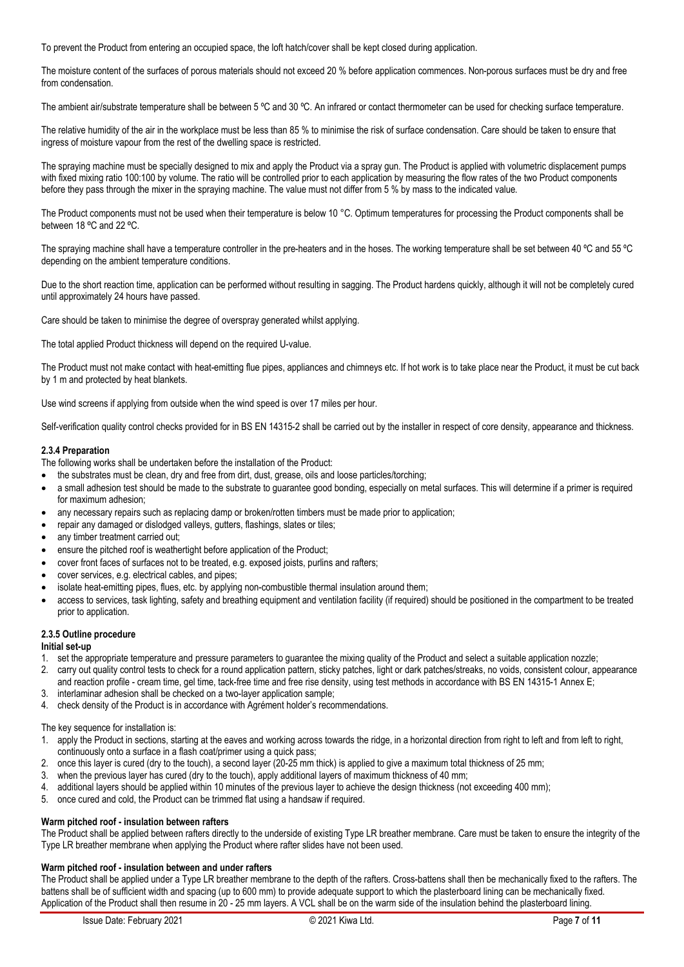To prevent the Product from entering an occupied space, the loft hatch/cover shall be kept closed during application.

The moisture content of the surfaces of porous materials should not exceed 20 % before application commences. Non-porous surfaces must be dry and free from condensation.

The ambient air/substrate temperature shall be between 5 °C and 30 °C. An infrared or contact thermometer can be used for checking surface temperature.

The relative humidity of the air in the workplace must be less than 85 % to minimise the risk of surface condensation. Care should be taken to ensure that ingress of moisture vapour from the rest of the dwelling space is restricted.

The spraying machine must be specially designed to mix and apply the Product via a spray gun. The Product is applied with volumetric displacement pumps with fixed mixing ratio 100:100 by volume. The ratio will be controlled prior to each application by measuring the flow rates of the two Product components before they pass through the mixer in the spraying machine. The value must not differ from 5 % by mass to the indicated value.

The Product components must not be used when their temperature is below 10 °C. Optimum temperatures for processing the Product components shall be between 18 °C and 22 °C.

The spraying machine shall have a temperature controller in the pre-heaters and in the hoses. The working temperature shall be set between 40 °C and 55 °C depending on the ambient temperature conditions.

Due to the short reaction time, application can be performed without resulting in sagging. The Product hardens quickly, although it will not be completely cured until approximately 24 hours have passed.

Care should be taken to minimise the degree of overspray generated whilst applying.

The total applied Product thickness will depend on the required U-value.

The Product must not make contact with heat-emitting flue pipes, appliances and chimneys etc. If hot work is to take place near the Product, it must be cut back by 1 m and protected by heat blankets.

Use wind screens if applying from outside when the wind speed is over 17 miles per hour.

Self-verification quality control checks provided for in BS EN 14315-2 shall be carried out by the installer in respect of core density, appearance and thickness.

### **2.3.4 Preparation**

The following works shall be undertaken before the installation of the Product:

- the substrates must be clean, dry and free from dirt, dust, grease, oils and loose particles/torching;
- a small adhesion test should be made to the substrate to guarantee good bonding, especially on metal surfaces. This will determine if a primer is required for maximum adhesion;
- any necessary repairs such as replacing damp or broken/rotten timbers must be made prior to application;
- repair any damaged or dislodged valleys, gutters, flashings, slates or tiles;
- any timber treatment carried out;
- ensure the pitched roof is weathertight before application of the Product;
- cover front faces of surfaces not to be treated, e.g. exposed joists, purlins and rafters;
- cover services, e.g. electrical cables, and pipes;
- isolate heat-emitting pipes, flues, etc. by applying non-combustible thermal insulation around them;
- access to services, task lighting, safety and breathing equipment and ventilation facility (if required) should be positioned in the compartment to be treated prior to application.

### **2.3.5 Outline procedure**

#### **Initial set-up**

- 1. set the appropriate temperature and pressure parameters to guarantee the mixing quality of the Product and select a suitable application nozzle;
- 2. carry out quality control tests to check for a round application pattern, sticky patches, light or dark patches/streaks, no voids, consistent colour, appearance and reaction profile - cream time, gel time, tack-free time and free rise density, using test methods in accordance with BS EN 14315-1 Annex E;
- 3. interlaminar adhesion shall be checked on a two-layer application sample;
- 4. check density of the Product is in accordance with Agrément holder's recommendations.

The key sequence for installation is:

- 1. apply the Product in sections, starting at the eaves and working across towards the ridge, in a horizontal direction from right to left and from left to right, continuously onto a surface in a flash coat/primer using a quick pass;
- 2. once this layer is cured (dry to the touch), a second layer (20-25 mm thick) is applied to give a maximum total thickness of 25 mm;
- 3. when the previous layer has cured (dry to the touch), apply additional layers of maximum thickness of 40 mm;<br>4. additional layers should be applied within 10 minutes of the previous layer to achieve the design thickness
- additional layers should be applied within 10 minutes of the previous layer to achieve the design thickness (not exceeding 400 mm);
- 5. once cured and cold, the Product can be trimmed flat using a handsaw if required.

# **Warm pitched roof - insulation between rafters**

The Product shall be applied between rafters directly to the underside of existing Type LR breather membrane. Care must be taken to ensure the integrity of the Type LR breather membrane when applying the Product where rafter slides have not been used.

# **Warm pitched roof - insulation between and under rafters**

The Product shall be applied under a Type LR breather membrane to the depth of the rafters. Cross-battens shall then be mechanically fixed to the rafters. The battens shall be of sufficient width and spacing (up to 600 mm) to provide adequate support to which the plasterboard lining can be mechanically fixed. Application of the Product shall then resume in 20 - 25 mm layers. A VCL shall be on the warm side of the insulation behind the plasterboard lining.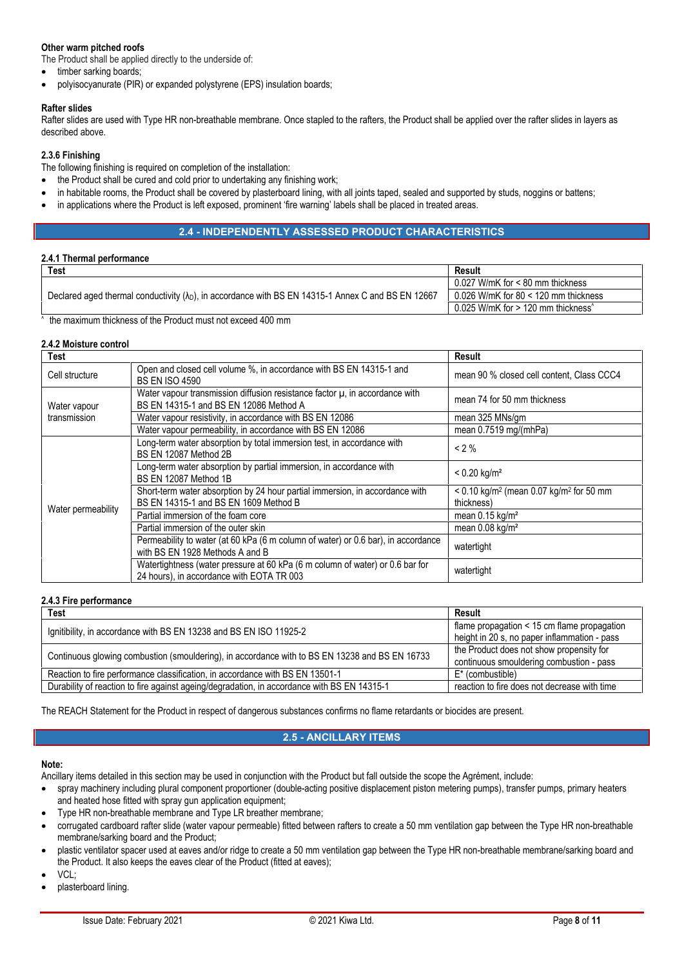# **Other warm pitched roofs**

The Product shall be applied directly to the underside of:

- timber sarking boards;
- polyisocyanurate (PIR) or expanded polystyrene (EPS) insulation boards;

### **Rafter slides**

Rafter slides are used with Type HR non-breathable membrane. Once stapled to the rafters, the Product shall be applied over the rafter slides in layers as described above.

# **2.3.6 Finishing**

The following finishing is required on completion of the installation:

- the Product shall be cured and cold prior to undertaking any finishing work;
- in habitable rooms, the Product shall be covered by plasterboard lining, with all joints taped, sealed and supported by studs, noggins or battens;
- in applications where the Product is left exposed, prominent 'fire warning' labels shall be placed in treated areas.

## **2.4 - INDEPENDENTLY ASSESSED PRODUCT CHARACTERISTICS**

### **2.4.1 Thermal performance**

| Test                                                                                                        | Result                                                               |  |
|-------------------------------------------------------------------------------------------------------------|----------------------------------------------------------------------|--|
|                                                                                                             | $0.027$ W/mK for < 80 mm thickness                                   |  |
| Declared aged thermal conductivity $(\lambda_D)$ , in accordance with BS EN 14315-1 Annex C and BS EN 12667 | 0.026 W/mK for 80 $<$ 120 mm thickness                               |  |
|                                                                                                             | $0.025$ W/mK for $> 120$ mm thickness <sup><math>\hat{}</math></sup> |  |
| $\sqrt{2}$                                                                                                  |                                                                      |  |

^ the maximum thickness of the Product must not exceed 400 mm

### **2.4.2 Moisture control**

| <b>Test</b>                  |                                                                                                                            | Result                                                                          |  |
|------------------------------|----------------------------------------------------------------------------------------------------------------------------|---------------------------------------------------------------------------------|--|
| Cell structure               | Open and closed cell volume %, in accordance with BS EN 14315-1 and<br><b>BS EN ISO 4590</b>                               | mean 90 % closed cell content, Class CCC4                                       |  |
| Water vapour<br>transmission | Water vapour transmission diffusion resistance factor $\mu$ , in accordance with<br>BS EN 14315-1 and BS EN 12086 Method A | mean 74 for 50 mm thickness                                                     |  |
|                              | Water vapour resistivity, in accordance with BS EN 12086                                                                   | mean 325 MNs/gm                                                                 |  |
|                              | Water vapour permeability, in accordance with BS EN 12086                                                                  | mean $0.7519$ mg/(mhPa)                                                         |  |
| Water permeability           | Long-term water absorption by total immersion test, in accordance with<br>BS EN 12087 Method 2B                            | $< 2 \%$                                                                        |  |
|                              | Long-term water absorption by partial immersion, in accordance with<br>BS EN 12087 Method 1B                               | $< 0.20$ kg/m <sup>2</sup>                                                      |  |
|                              | Short-term water absorption by 24 hour partial immersion, in accordance with<br>BS EN 14315-1 and BS EN 1609 Method B      | $< 0.10$ kg/m <sup>2</sup> (mean 0.07 kg/m <sup>2</sup> for 50 mm<br>thickness) |  |
|                              | Partial immersion of the foam core                                                                                         | mean $0.15$ kg/m <sup>2</sup>                                                   |  |
|                              | Partial immersion of the outer skin                                                                                        | mean $0.08$ kg/m <sup>2</sup>                                                   |  |
|                              | Permeability to water (at 60 kPa (6 m column of water) or 0.6 bar), in accordance<br>with BS EN 1928 Methods A and B       | watertight                                                                      |  |
|                              | Watertightness (water pressure at 60 kPa (6 m column of water) or 0.6 bar for<br>24 hours), in accordance with EOTA TR 003 | watertight                                                                      |  |

### **2.4.3 Fire performance**

| Test                                                                                           | Result                                       |  |
|------------------------------------------------------------------------------------------------|----------------------------------------------|--|
| Ignitibility, in accordance with BS EN 13238 and BS EN ISO 11925-2                             | flame propagation < 15 cm flame propagation  |  |
|                                                                                                | height in 20 s, no paper inflammation - pass |  |
|                                                                                                | the Product does not show propensity for     |  |
| Continuous glowing combustion (smouldering), in accordance with to BS EN 13238 and BS EN 16733 | continuous smouldering combustion - pass     |  |
| Reaction to fire performance classification, in accordance with BS EN 13501-1                  | $E^*$ (combustible)                          |  |
| Durability of reaction to fire against ageing/degradation, in accordance with BS EN 14315-1    | reaction to fire does not decrease with time |  |

The REACH Statement for the Product in respect of dangerous substances confirms no flame retardants or biocides are present.

# **2.5 - ANCILLARY ITEMS**

### **Note:**

Ancillary items detailed in this section may be used in conjunction with the Product but fall outside the scope the Agrément, include:

- spray machinery including plural component proportioner (double-acting positive displacement piston metering pumps), transfer pumps, primary heaters and heated hose fitted with spray gun application equipment;
- Type HR non-breathable membrane and Type LR breather membrane;
- corrugated cardboard rafter slide (water vapour permeable) fitted between rafters to create a 50 mm ventilation gap between the Type HR non-breathable membrane/sarking board and the Product;
- plastic ventilator spacer used at eaves and/or ridge to create a 50 mm ventilation gap between the Type HR non-breathable membrane/sarking board and the Product. It also keeps the eaves clear of the Product (fitted at eaves);
- VCL;
- plasterboard lining.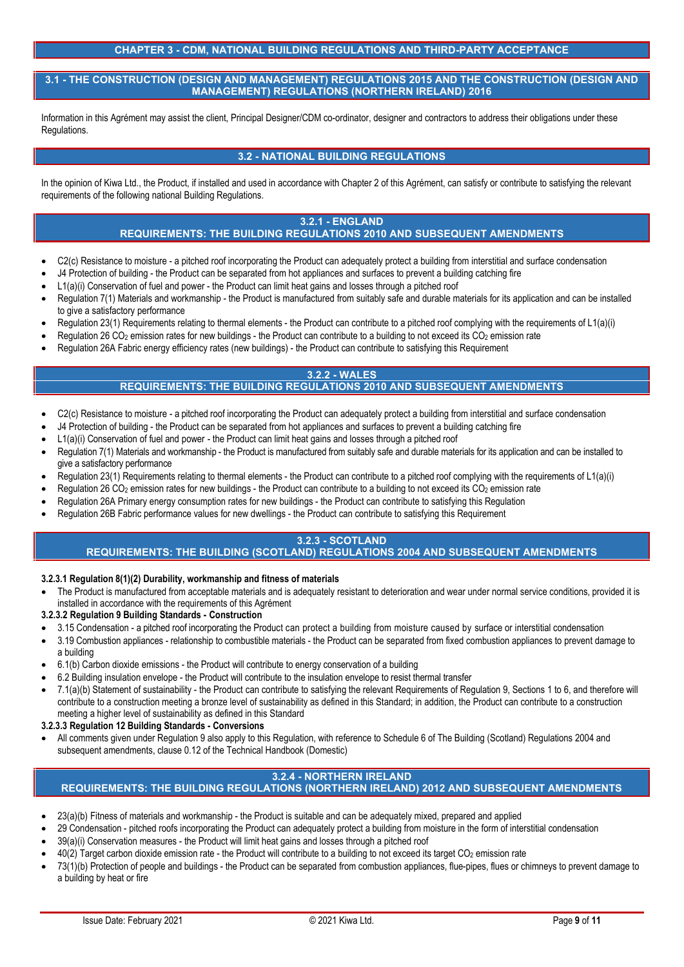# **CHAPTER 3 - CDM, NATIONAL BUILDING REGULATIONS AND THIRD-PARTY ACCEPTANCE**

**3.1 - THE CONSTRUCTION (DESIGN AND MANAGEMENT) REGULATIONS 2015 AND THE CONSTRUCTION (DESIGN AND MANAGEMENT) REGULATIONS (NORTHERN IRELAND) 2016**

Information in this Agrément may assist the client, Principal Designer/CDM co-ordinator, designer and contractors to address their obligations under these Regulations.

# **3.2 - NATIONAL BUILDING REGULATIONS**

In the opinion of Kiwa Ltd., the Product, if installed and used in accordance with Chapter 2 of this Agrément, can satisfy or contribute to satisfying the relevant requirements of the following national Building Regulations.

# **3.2.1 - ENGLAND**

# **REQUIREMENTS: THE BUILDING REGULATIONS 2010 AND SUBSEQUENT AMENDMENTS**

- C<sub>2</sub>(c) Resistance to moisture a pitched roof incorporating the Product can adequately protect a building from interstitial and surface condensation
- J4 Protection of building the Product can be separated from hot appliances and surfaces to prevent a building catching fire
- L1(a)(i) Conservation of fuel and power the Product can limit heat gains and losses through a pitched roof
- Regulation 7(1) Materials and workmanship the Product is manufactured from suitably safe and durable materials for its application and can be installed to give a satisfactory performance
- Regulation 23(1) Requirements relating to thermal elements the Product can contribute to a pitched roof complying with the requirements of L1(a)(i)
- Regulation 26 CO<sub>2</sub> emission rates for new buildings the Product can contribute to a building to not exceed its CO<sub>2</sub> emission rate
- Regulation 26A Fabric energy efficiency rates (new buildings) the Product can contribute to satisfying this Requirement

#### **3.2.2 - WALES REQUIREMENTS: THE BUILDING REGULATIONS 2010 AND SUBSEQUENT AMENDMENTS**

- C2(c) Resistance to moisture a pitched roof incorporating the Product can adequately protect a building from interstitial and surface condensation
- J4 Protection of building the Product can be separated from hot appliances and surfaces to prevent a building catching fire
- L1(a)(i) Conservation of fuel and power the Product can limit heat gains and losses through a pitched roof
- Regulation 7(1) Materials and workmanship the Product is manufactured from suitably safe and durable materials for its application and can be installed to give a satisfactory performance
- Regulation 23(1) Requirements relating to thermal elements the Product can contribute to a pitched roof complying with the requirements of L1(a)(i)
- Regulation 26 CO<sub>2</sub> emission rates for new buildings the Product can contribute to a building to not exceed its CO<sub>2</sub> emission rate
- Regulation 26A Primary energy consumption rates for new buildings the Product can contribute to satisfying this Regulation
- Regulation 26B Fabric performance values for new dwellings the Product can contribute to satisfying this Requirement

# **3.2.3 - SCOTLAND**

# **REQUIREMENTS: THE BUILDING (SCOTLAND) REGULATIONS 2004 AND SUBSEQUENT AMENDMENTS**

### **3.2.3.1 Regulation 8(1)(2) Durability, workmanship and fitness of materials**

 The Product is manufactured from acceptable materials and is adequately resistant to deterioration and wear under normal service conditions, provided it is installed in accordance with the requirements of this Agrément

### **3.2.3.2 Regulation 9 Building Standards - Construction**

- 3.15 Condensation a pitched roof incorporating the Product can protect a building from moisture caused by surface or interstitial condensation
- 3.19 Combustion appliances relationship to combustible materials the Product can be separated from fixed combustion appliances to prevent damage to a building
- 6.1(b) Carbon dioxide emissions the Product will contribute to energy conservation of a building
- 6.2 Building insulation envelope the Product will contribute to the insulation envelope to resist thermal transfer
- 7.1(a)(b) Statement of sustainability the Product can contribute to satisfying the relevant Requirements of Regulation 9, Sections 1 to 6, and therefore will contribute to a construction meeting a bronze level of sustainability as defined in this Standard; in addition, the Product can contribute to a construction meeting a higher level of sustainability as defined in this Standard

**3.2.3.3 Regulation 12 Building Standards - Conversions**

 All comments given under Regulation 9 also apply to this Regulation, with reference to Schedule 6 of The Building (Scotland) Regulations 2004 and subsequent amendments, clause 0.12 of the Technical Handbook (Domestic)

# **3.2.4 - NORTHERN IRELAND**

# **REQUIREMENTS: THE BUILDING REGULATIONS (NORTHERN IRELAND) 2012 AND SUBSEQUENT AMENDMENTS**

- 23(a)(b) Fitness of materials and workmanship the Product is suitable and can be adequately mixed, prepared and applied
- 29 Condensation pitched roofs incorporating the Product can adequately protect a building from moisture in the form of interstitial condensation
- 39(a)(i) Conservation measures the Product will limit heat gains and losses through a pitched roof
- 40(2) Target carbon dioxide emission rate the Product will contribute to a building to not exceed its target CO<sup>2</sup> emission rate
- 73(1)(b) Protection of people and buildings the Product can be separated from combustion appliances, flue-pipes, flues or chimneys to prevent damage to a building by heat or fire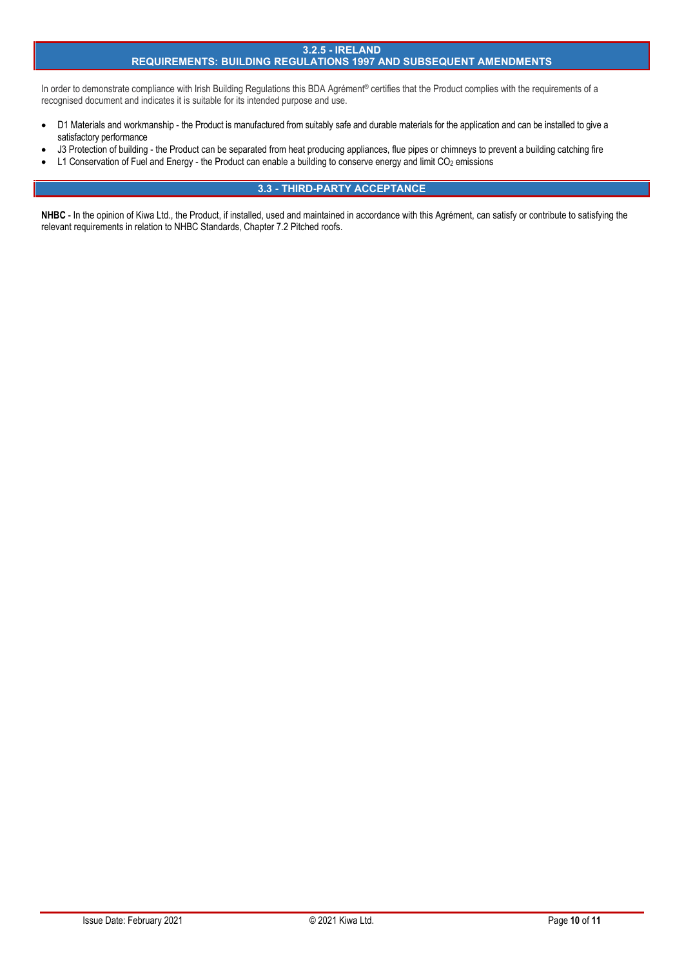### **3.2.5 - IRELAND**

# **REQUIREMENTS: BUILDING REGULATIONS 1997 AND SUBSEQUENT AMENDMENTS**

In order to demonstrate compliance with Irish Building Regulations this BDA Agrément® certifies that the Product complies with the requirements of a recognised document and indicates it is suitable for its intended purpose and use.

- D1 Materials and workmanship the Product is manufactured from suitably safe and durable materials for the application and can be installed to give a satisfactory performance
- J3 Protection of building the Product can be separated from heat producing appliances, flue pipes or chimneys to prevent a building catching fire
- L1 Conservation of Fuel and Energy the Product can enable a building to conserve energy and limit CO<sub>2</sub> emissions

# **3.3 - THIRD-PARTY ACCEPTANCE**

NHBC - In the opinion of Kiwa Ltd., the Product, if installed, used and maintained in accordance with this Agrément, can satisfy or contribute to satisfying the relevant requirements in relation to NHBC Standards, Chapter 7.2 Pitched roofs.